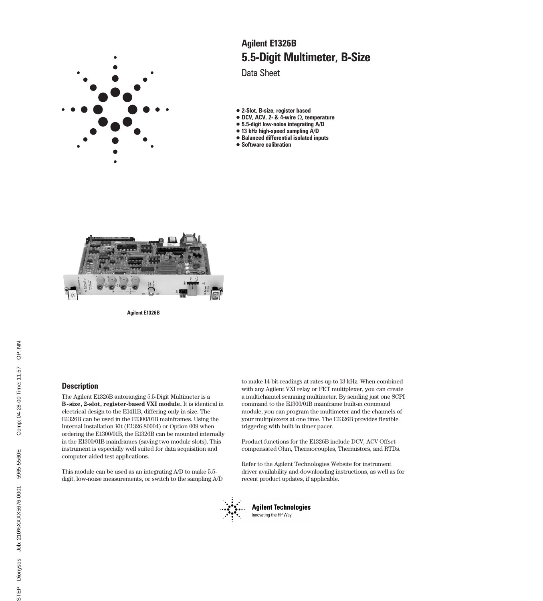

# 5.5-Digit Multimeter, B-Size Agilent E1326B

Data Sheet

- 2-Slot, B-size, register based
- DCV, ACV, 2- & 4-wire Ω, temperature
- 5.5-digit low-noise integrating A/D
- 13 kHz high-speed sampling A/D
- Balanced differential isolated inputs
- Software calibration



Agilent E1326B

### **Description**

The Agilent E1326B autoranging 5.5-Digit Multimeter is a **B-size, 2-slot, register-based VXI module.** It is identical in electrical design to the E1411B, differing only in size. The E1326B can be used in the E1300/01B mainframes. Using the Internal Installation Kit (E1326-80004) or Option 009 when ordering the E1300/01B, the E1326B can be mounted internally in the E1300/01B mainframes (saving two module slots). This instrument is especially well suited for data acquisition and computer-aided test applications.

This module can be used as an integrating A/D to make 5.5 digit, low-noise measurements, or switch to the sampling A/D to make 14-bit readings at rates up to 13 kHz. When combined with any Agilent VXI relay or FET multiplexer, you can create a multichannel scanning multimeter. By sending just one SCPI command to the E1300/01B mainframe built-in command module, you can program the multimeter and the channels of your multiplexers at one time. The E1326B provides flexible triggering with built-in timer pacer.

Product functions for the E1326B include DCV, ACV Offsetcompensated Ohm, Thermocouples, Thermistors, and RTDs.

Refer to the Agilent Technologies Website for instrument driver availability and downloading instructions, as well as for recent product updates, if applicable.



**Agilent Technologies** Innovating the HP Way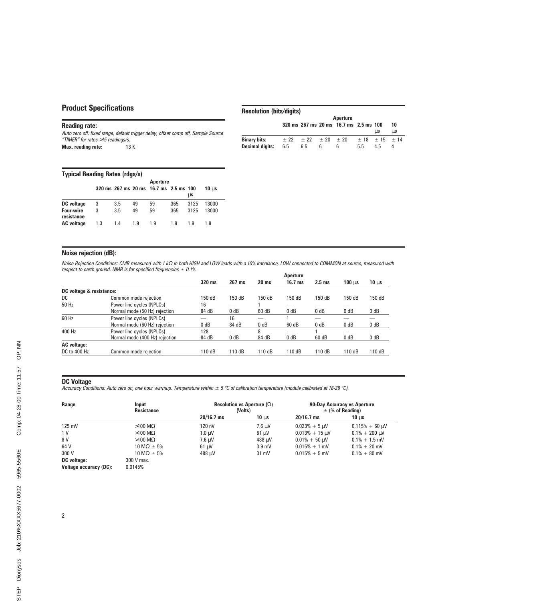## Product Specifications

### Reading rate:

Auto zero off, fixed range, default trigger delay, offset comp off, Sample Source "TIMER" for rates >15 readings/s.

Max. reading rate: 13 K

|                        |     | <b>Aperture</b>                     |   |                                        |                            |     |    |
|------------------------|-----|-------------------------------------|---|----------------------------------------|----------------------------|-----|----|
|                        |     |                                     |   | 320 ms 267 ms 20 ms 16.7 ms 2.5 ms 100 |                            |     | 10 |
|                        |     |                                     |   |                                        |                            | us  | иs |
| <b>Binary bits:</b>    |     | $\pm$ 22 $\pm$ 22 $\pm$ 20 $\pm$ 20 |   |                                        | $\pm$ 18 $\pm$ 15 $\pm$ 14 |     |    |
| <b>Decimal digits:</b> | 6.5 | 6.5                                 | 6 | 6                                      | 5.5                        | 4.5 | 4  |

Resolution (bits/digits)

#### Typical Reading Rates (rdgs/s)

|                                |     |     |     | Aperture                               |     |      |                  |
|--------------------------------|-----|-----|-----|----------------------------------------|-----|------|------------------|
|                                |     |     |     | 320 ms 267 ms 20 ms 16.7 ms 2.5 ms 100 |     |      | 10 <sub>us</sub> |
|                                |     |     |     |                                        |     | иs   |                  |
| DC voltage                     | 3   | 3.5 | 49  | 59                                     | 365 | 3125 | 13000            |
| <b>Four-wire</b><br>resistance | 3   | 3.5 | 49  | 59                                     | 365 | 3125 | 13000            |
| <b>AC</b> voltage              | 1.3 | 1.4 | 1.9 | 1.9                                    | 1.9 | 1 9  | 1.9              |

### Noise rejection (dB):

Noise Rejection Conditions: CMR measured with 1 kΩ in both HIGH and LOW leads with a 10% imbalance, LOW connected to COMMON at source, measured with respect to earth ground. NMR is for specified frequencies  $\pm$  0.1%.

|                          |                                | <b>Aperture</b> |        |                  |                          |          |                   |            |
|--------------------------|--------------------------------|-----------------|--------|------------------|--------------------------|----------|-------------------|------------|
|                          |                                | 320 ms          | 267 ms | 20 <sub>ms</sub> | $16.7$ ms                | $2.5$ ms | 100 <sub>us</sub> | $10 \mu s$ |
| DC voltage & resistance: |                                |                 |        |                  |                          |          |                   |            |
| DC                       | Common mode rejection          | 150 dB          | 150 dB | 150 dB           | 150 dB                   | 150 dB   | 150 dB            | 150 dB     |
| 50 Hz                    | Power line cycles (NPLCs)      | 16              |        |                  |                          |          |                   |            |
|                          | Normal mode (50 Hz) rejection  | 84 dB           | 0 dB   | 60 dB            | 0 dB                     | 0 dB     | 0 dB              | 0 dB       |
| 60 Hz                    | Power line cycles (NPLCs)      |                 | 16     |                  |                          |          |                   |            |
|                          | Normal mode (60 Hz) rejection  | 0 dB            | 84 dB  | 0 dB             | 60 dB                    | 0 dB     | 0 <sub>d</sub> B  | 0 dB       |
| 400 Hz                   | Power line cycles (NPLCs)      | 128             |        | 8                | $\overline{\phantom{0}}$ |          |                   |            |
|                          | Normal mode (400 Hz) rejection | 84 dB           | 0 dB   | 84 dB            | 0 dB                     | 60 dB    | 0 dB              | 0 dB       |
| <b>AC</b> voltage:       |                                |                 |        |                  |                          |          |                   |            |
| DC to 400 Hz             | Common mode rejection          | 110 dB          | 110 dB | 110 dB           | 110 dB                   | 110 dB   | 110 dB            | 110 dB     |

#### DC Voltage

Accuracy Conditions: Auto zero on, one hour warmup. Temperature within  $\pm$  5 °C of calibration temperature (module calibrated at 18-28 °C).

| Range                         | Input<br><b>Resistance</b>   | Resolution vs Aperture $(\Omega)$<br>(Volts) |                  | 90-Day Accuracy vs Aperture<br>$\pm$ (% of Reading) |                                  |  |
|-------------------------------|------------------------------|----------------------------------------------|------------------|-----------------------------------------------------|----------------------------------|--|
|                               |                              | $20/16.7$ ms                                 | $10 \text{ u}$ s | $20/16.7$ ms                                        | 10 $\,\mathrm{u}\mathrm{s}$      |  |
| 125 mV                        | $>100$ M $\Omega$            | 120 nV                                       | 7.6 µV           | $0.023% + 5 \mu V$                                  | $0.115% + 60 \mu V$              |  |
| 1 V                           | $>100$ M $\Omega$            | $1.0 \mu V$                                  | $61 \mu V$       | $0.013% + 15 \mu V$                                 | $0.1\% + 200 \,\mathrm{\upmu V}$ |  |
| 8 V                           | $>100$ M $\Omega$            | $7.6 \mu V$                                  | 488 µV           | $0.01\% + 50 \mu V$                                 | $0.1\% + 1.5$ mV                 |  |
| 64 V                          | 10 M $\Omega$ $\pm$ 5%       | $61 \mu V$                                   | $3.9 \text{ mV}$ | $0.015% + 1$ mV                                     | $0.1\% + 20$ mV                  |  |
| 300 V                         | $10 \text{ M}\Omega \pm 5\%$ | 488 uV                                       | $31 \text{ mV}$  | $0.015% + 5$ mV                                     | $0.1\% + 80$ mV                  |  |
| <b>DC</b> voltage:            | 300 V max.                   |                                              |                  |                                                     |                                  |  |
| <b>Voltage accuracy (DC):</b> | 0.0145%                      |                                              |                  |                                                     |                                  |  |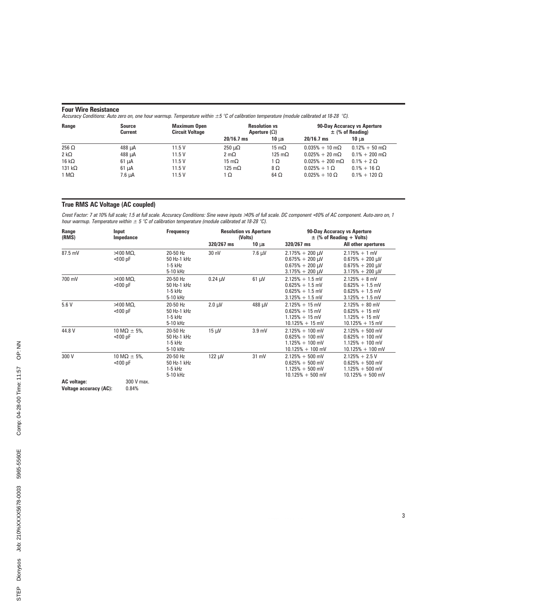### Four Wire Resistance

Accuracy Conditions: Auto zero on, one hour warmup. Temperature within  $\pm 5$  °C of calibration temperature (module calibrated at 18-28 °C).

| Range          | <b>Source</b><br><b>Current</b> | <b>Maximum Open</b><br><b>Circuit Voltage</b> |                     | <b>Resolution vs</b><br>Aperture $(\Omega)$ |                                 | 90-Day Accuracy vs Aperture<br>$\pm$ (% of Reading) |
|----------------|---------------------------------|-----------------------------------------------|---------------------|---------------------------------------------|---------------------------------|-----------------------------------------------------|
|                |                                 |                                               | $20/16.7$ ms        | 10 <sub>us</sub>                            | $20/16.7$ ms                    | 10 $\,\mathrm{u}\mathrm{s}$                         |
| 256 $\Omega$   | 488 µA                          | 11.5V                                         | $250 \mu\Omega$     | 15 m $\Omega$                               | $0.035\% + 10 \text{ m}\Omega$  | $0.12\% + 50 \text{ m}\Omega$                       |
| $2 k\Omega$    | 488 µA                          | 11.5V                                         | $2 \text{ m}\Omega$ | 125 m $\Omega$                              | $0.025% + 20 \text{ m}\Omega$   | $0.1\% + 200 \,\mathrm{m}\Omega$                    |
| 16 k $\Omega$  | $61 \mu A$                      | 11.5V                                         | 15 m $\Omega$       | 1Ω                                          | $0.025\% + 200 \text{ m}\Omega$ | $0.1\% + 2 \Omega$                                  |
| 131 k $\Omega$ | $61 \mu A$                      | 11.5V                                         | 125 m $\Omega$      | 8Ω                                          | $0.025\% + 1 \Omega$            | $0.1\% + 16 \Omega$                                 |
| 1 M $\Omega$   | 7.6 µA                          | 11.5V                                         | ι Ω                 | 64 $\Omega$                                 | $0.025\% + 10 \Omega$           | $0.1\% + 120 \Omega$                                |

### True RMS AC Voltage (AC coupled)

Crest Factor: 7 at 10% full scale; 1.5 at full scale. Accuracy Conditions: Sine wave inputs >10% of full scale. DC component <10% of AC component. Auto-zero on, 1 hour warmup. Temperature within  $\pm$  5 °C of calibration temperature (module calibrated at 18-28 °C).

| Range<br>(RMS)     | Input<br>Impedance                           | <b>Frequency</b>                                 | <b>Resolution vs Aperture</b><br>(Volts) |                   | 90-Day Accuracy vs Aperture<br>$\pm$ (% of Reading + Volts)                                            |                                                                                         |
|--------------------|----------------------------------------------|--------------------------------------------------|------------------------------------------|-------------------|--------------------------------------------------------------------------------------------------------|-----------------------------------------------------------------------------------------|
|                    |                                              |                                                  | 320/267 ms                               | $10 \mu s$        | 320/267 ms                                                                                             | All other apertures                                                                     |
| 87.5 mV            | $>100$ M $\Omega$ ,<br>$<$ 100 pF            | 20-50 Hz<br>50 Hz-1 kHz<br>$1-5$ kHz<br>5-10 kHz | 30 nV                                    | $7.6 \mu V$       | $2.175\% + 200 \,\mu\text{V}$<br>$0.675\% + 200 \mu V$<br>$0.675% + 200 \mu V$<br>$3.175% + 200 \mu V$ | $2.175% + 1$ mV<br>$0.675% + 200 \mu V$<br>$0.675% + 200 \mu V$<br>$3.175% + 200 \mu V$ |
| 700 mV             | $>100$ M $\Omega$ ,<br>$<$ 100 pF            | 20-50 Hz<br>50 Hz-1 kHz<br>$1-5$ kHz<br>5-10 kHz | $0.24 \mu V$                             | $61 \mu V$        | $2.125% + 1.5$ mV<br>$0.625% + 1.5$ mV<br>$0.625\% + 1.5$ mV<br>$3.125% + 1.5$ mV                      | $2.125% + 8$ mV<br>$0.625% + 1.5$ mV<br>$0.625% + 1.5$ mV<br>$3.125% + 1.5$ mV          |
| 5.6V               | $>100$ M $\Omega$ .<br>$<$ 100 pF            | 20-50 Hz<br>50 Hz-1 kHz<br>$1-5$ kHz<br>5-10 kHz | $2.0 \mu V$                              | 488 μV            | $2.125% + 15$ mV<br>$0.625% + 15$ mV<br>$1.125% + 15$ mV<br>$10.125% + 15$ mV                          | $2.125\% + 80$ mV<br>$0.625% + 15$ mV<br>$1.125% + 15$ mV<br>$10.125% + 15$ mV          |
| 44.8 V             | $10 \text{ M}\Omega \pm 5\%$ ,<br>$<$ 100 pF | 20-50 Hz<br>50 Hz-1 kHz<br>$1-5$ kHz<br>5-10 kHz | $15 \mu V$                               | 3.9 <sub>mV</sub> | $2.125\% + 100$ mV<br>$0.625% + 100$ mV<br>$1.125\% + 100$ mV<br>$10.125\% + 100$ mV                   | $2.125\% + 500$ mV<br>$0.625\% + 100$ mV<br>$1.125\% + 100$ mV<br>$10.125\% + 100$ mV   |
| 300 V              | $10 \text{ M}\Omega \pm 5\%$ ,<br>$<$ 100 pF | 20-50 Hz<br>50 Hz-1 kHz<br>$1-5$ kHz<br>5-10 kHz | $122 \mu V$                              | 31 mV             | $2.125\% + 500$ mV<br>$0.625% + 500$ mV<br>$1.125\% + 500$ mV<br>$10.125\% + 500$ mV                   | $2.125% + 2.5V$<br>$0.625% + 500$ mV<br>$1.125\% + 500$ mV<br>$10.125\% + 500$ mV       |
| <b>AC</b> voltage: | 300 V max.                                   |                                                  |                                          |                   |                                                                                                        |                                                                                         |

Voltage accuracy (AC): 0.84%

PDFINFO H 5 5 6 0 - 0 3  $\sim$  3  $\sim$  3  $\sim$  3  $\sim$  3  $\sim$  3  $\sim$  3  $\sim$  3  $\sim$  3  $\sim$  3  $\sim$  3  $\sim$  3  $\sim$  3  $\sim$  3  $\sim$  3  $\sim$  3  $\sim$  3  $\sim$  3  $\sim$  3  $\sim$  3  $\sim$  3  $\sim$  3  $\sim$  3  $\sim$  3  $\sim$  3  $\sim$  3  $\sim$  3  $\sim$  3  $\sim$  3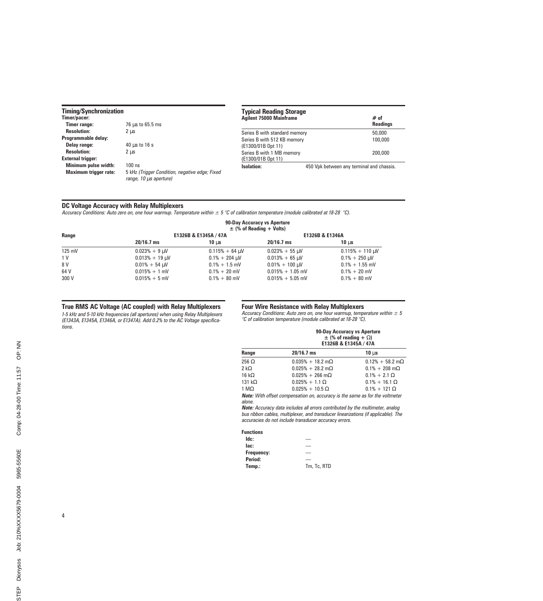#### Timing/Synchronization

| Timer/pacer:                 |                                                                          |
|------------------------------|--------------------------------------------------------------------------|
| <b>Timer range:</b>          | 76 us to 65.5 ms                                                         |
| <b>Resolution:</b>           | $2 \mu s$                                                                |
| Programmable delay:          |                                                                          |
| Delay range:                 | $40 \mu s$ to $16 s$                                                     |
| <b>Resolution:</b>           | 2 us                                                                     |
| <b>External trigger:</b>     |                                                                          |
| Minimum pulse width:         | $100$ ns                                                                 |
| <b>Maximum trigger rate:</b> | 5 kHz (Trigger Condition, negative edge; Fixed<br>range, 10 us aperture) |
|                              |                                                                          |

| <b>Typical Reading Storage</b><br><b>Agilent 75000 Mainframe</b> | $#$ of<br><b>Readings</b>                 |
|------------------------------------------------------------------|-------------------------------------------|
| Series B with standard memory                                    | 50,000                                    |
| Series B with 512 KB memory<br>(E1300/01B Opt 11)                | 100,000                                   |
| Series B with 1 MB memory<br>(E1300/01B Opt 11)                  | 200,000                                   |
| Isolation:                                                       | 450 Vpk between any terminal and chassis. |

### DC Voltage Accuracy with Relay Multiplexers

Accuracy Conditions: Auto zero on, one hour warmup. Temperature within  $\pm 5$  °C of calibration temperature (module calibrated at 18-28 °C).

|        |                     |                       | 90-Day Accuracy vs Aperture<br>$\pm$ (% of Reading + Volts) |                                  |
|--------|---------------------|-----------------------|-------------------------------------------------------------|----------------------------------|
| Range  |                     | E1326B & E1345A / 47A | E1326B & E1346A                                             |                                  |
|        | $20/16.7$ ms        | 10 $\mu$ s            | $20/16.7$ ms                                                | 10 <sub>us</sub>                 |
| 125 mV | $0.023% + 9 \mu V$  | $0.115% + 64$ µV      | $0.023% + 55 \mu V$                                         | $0.115% + 110 \mu V$             |
| 1 V    | $0.013% + 19 \mu V$ | $0.1\% + 204 \mu V$   | $0.013% + 65$ µV                                            | $0.1\% + 250 \,\mathrm{\upmu V}$ |
| 8 V    | $0.01\% + 54 \mu V$ | $0.1\% + 1.5$ mV      | $0.01\% + 100 \,\mathrm{\upmu V}$                           | $0.1\% + 1.55$ mV                |
| 64 V   | $0.015% + 1$ mV     | $0.1\% + 20$ mV       | $0.015% + 1.05$ mV                                          | $0.1\% + 20$ mV                  |
| 300 V  | $0.015% + 5$ mV     | $0.1\% + 80$ mV       | $0.015% + 5.05$ mV                                          | $0.1\% + 80$ mV                  |

### True RMS AC Voltage (AC coupled) with Relay Multiplexers

1-5 kHz and 5-10 kHz frequencies (all apertures) when using Relay Multiplexers (E1343A, E1345A, E1346A, or E1347A). Add 0.2% to the AC Voltage specifications.

#### Four Wire Resistance with Relay Multiplexers

Accuracy Conditions: Auto zero on, one hour warmup, temperature within  $\pm 5$ °C of calibration temperature (module calibrated at 18-28 °C).

|                |                                                                                                                                                                                                                                | 90-Day Accuracy vs Aperture<br>$\pm$ (% of reading + $\Omega$ )<br>E1326B & E1345A / 47A |  |  |  |
|----------------|--------------------------------------------------------------------------------------------------------------------------------------------------------------------------------------------------------------------------------|------------------------------------------------------------------------------------------|--|--|--|
| Range          | $20/16.7$ ms                                                                                                                                                                                                                   | $10 \mu s$                                                                               |  |  |  |
| 256 $\Omega$   | $0.035\% + 18.2 \text{ m}\Omega$                                                                                                                                                                                               | $0.12\% + 58.2 \text{ m}\Omega$                                                          |  |  |  |
| $2 k\Omega$    | $0.025\% + 28.2 \text{ m}\Omega$                                                                                                                                                                                               | $0.1\% + 208 \text{ m}\Omega$                                                            |  |  |  |
| 16 k $\Omega$  | $0.025\% + 266$ m $\Omega$                                                                                                                                                                                                     | $0.1\% + 2.1 \Omega$                                                                     |  |  |  |
| 131 k $\Omega$ | $0.025\% + 1.1 \Omega$                                                                                                                                                                                                         | $0.1\% + 16.1 \Omega$                                                                    |  |  |  |
| 1 M $\Omega$   | $0.025\% + 10.5 \Omega$                                                                                                                                                                                                        | $0.1\% + 121 \Omega$                                                                     |  |  |  |
|                | Material Calculation of consequences in the consequence of the consequence of the second continuous states of the state of the state of the state of the state of the state of the state of the state of the state of the stat |                                                                                          |  |  |  |

Note: With offset compensation on, accuracy is the same as for the voltmeter alone.

Note: Accuracy data includes all errors contributed by the multimeter, analog bus ribbon cables, multiplexer, and transducer linearizations (if applicable). The accuracies do not include transducer accuracy errors.

#### Functions

| ldc:       |             |
|------------|-------------|
| lac:       |             |
| Frequency: |             |
| Period:    |             |
| Temp.:     | Tm, Tc, RTD |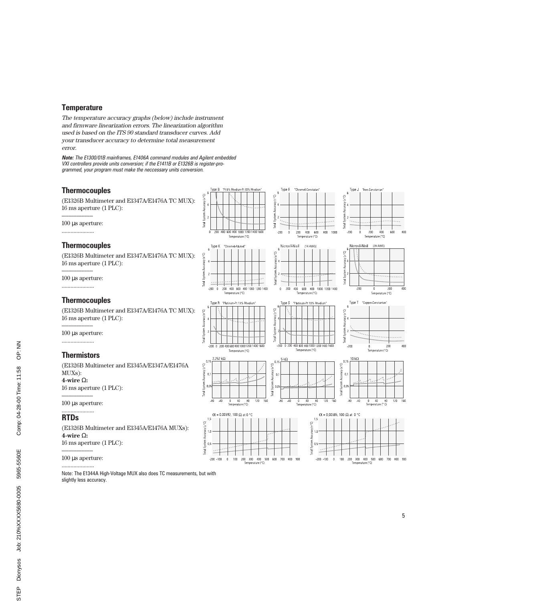### **Temperature**

The temperature accuracy graphs (below) include instrument and firmware linearization errors. The linearization algorithm used is based on the ITS 90 standard transducer curves. Add your transducer accuracy to determine total measurement error.

Note: The E1300/01B mainframes, E1406A command modules and Agilent embedded VXI controllers provide units conversion; if the E1411B or E1326B is register-programmed, your program must make the neccessary units conversion.

### **Thermocouples**

(E1326B Multimeter and E1347A/E1476A TC MUX): 16 ms aperture (1 PLC):

------------------- 100 µs aperture:

......................

### Thermocouples

(E1326B Multimeter and E1347A/E1476A TC MUX): 16 ms aperture (1 PLC):

------------------- 100 µs aperture:

......................

### **Thermocouples**

(E1326B Multimeter and E1347A/E1476A TC MUX): 16 ms aperture (1 PLC):

------------------- 100 µs aperture:

......................

### **Thermistors**

(E1326B Multimeter and E1345A/E1347A/E1476A MUXs): **4-wire** Ω**:** 16 ms aperture (1 PLC):

------------------- 100 µs aperture: ......................

### RTDs

(E1326B Multimeter and E1345A/E1476A MUXs): **4-wire** Ω**:** 16 ms aperture (1 PLC):

------------------- 100 µs aperture:

......................

Note: The E1344A High-Voltage MUX also does TC measurements, but with slightly less accuracy.



-200 0 200 400 600 800 1000 1200 1400 160

 $2.252 k\Omega$ 

Temperature (°C)

 $0$  40 80<br>Temperature (°C)

 $\alpha$  = 0.00392, 100  $\Omega$  at 0 °C

Total System Accuracy (±°C)

otal System Accuracy (±°C)

 $0.15$ 

 $\alpha$ 

 $-80$  $-40$ 

 $1.5$ 

 $10<sup>1</sup>$ 

 $0.5$  $\tilde{a}$  $-200 - 100$  $\,$  0  $\,$ 100

Total System Accuracy (±°C)

Accuracy (±°C)

stem  $0<sub>0</sub>$ 

fotal S



 $5 k\Omega$ 

 $0.15$ 

 $\overline{0}$ .

 $0.05$ 

 $-80$  $-40$ 

ldo+)

ctam

Total<sup>S</sup>

200 300 400 500 600 700 800 900<br>Temperature (°C)

120 160  $400$ 

(14 AWG)

600  $800$ 

600 800 1000 1200 1400



"Iron-Constantan

Type J



Type T Copper-Constantan'  $\ddot{6}$  $\overline{\mathbb{C}}^*$ acy (# Accu











400

160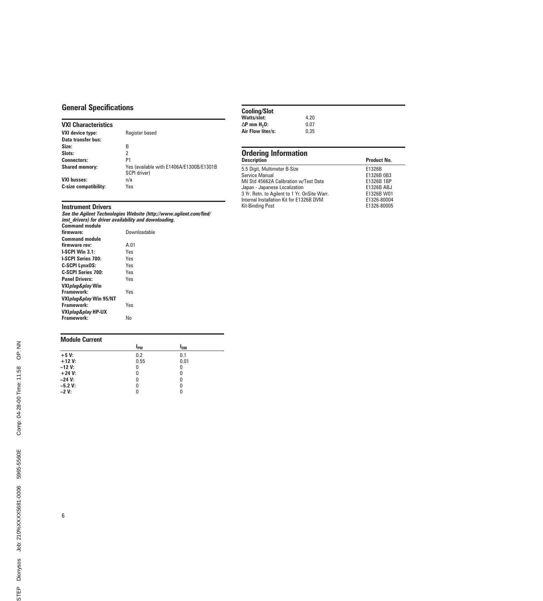## General Specifications

### VXI Characteristics

| <b>VXI device type:</b>      | Register based                                           |
|------------------------------|----------------------------------------------------------|
| Data transfer bus:           |                                                          |
| Size:                        | В                                                        |
| Slots:                       | 2                                                        |
| <b>Connectors:</b>           | P1                                                       |
| <b>Shared memory:</b>        | Yes (available with E1406A/E1300B/E1301B<br>SCPI driver) |
| <b>VXI busses:</b>           | n/a                                                      |
| <b>C-size compatibility:</b> | Yes                                                      |

### Instrument Drivers

See the Agilent Technologies Website (http://www.agilent.com/find/ inst\_drivers) for driver availability and downloading.

| <b>Command module</b>          |              |
|--------------------------------|--------------|
| firmware:                      | Downloadable |
| <b>Command module</b>          |              |
| firmware rev:                  | A.01         |
| LSCPI Win 3.1:                 | Yes          |
| <b>LSCPI Series 700:</b>       | Yes          |
| <b>C-SCPI LynxOS:</b>          | Yes          |
| C-SCPI Series 700:             | Yes          |
| <b>Panel Drivers:</b>          | Yes          |
| VXI <i>plug&amp;play</i> Win   |              |
| Framework:                     | Yes          |
| VXIplug&play Win 95/NT         |              |
| Framework:                     | Yes          |
| VXI <i>plug&amp;play</i> HP-UX |              |
| Framework:                     | N٥           |
|                                |              |

### Module Current

|           | $I_{PM}$ | l <sub>DM</sub> |  |
|-----------|----------|-----------------|--|
| $+5V$     | 0.2      | 0.1             |  |
| $+12V$    | 0.55     | 0.01            |  |
| $-12V$ :  | 0        | 0               |  |
| $+24 V:$  | 0        | 0               |  |
| $-24$ V:  | 0        | 0               |  |
| $-5.2 V:$ | 0        | 0               |  |
| $-2V:$    |          | 0               |  |

## Cooling/Slot

| www.ny wiec             |      |
|-------------------------|------|
| Watts/slot:             | 4.20 |
| ∆P mm H <sub>2</sub> 0: | 0.07 |
| Air Flow liter/s:       | 0.35 |
|                         |      |

## Ordering Information

| <b>Description</b>                           | <b>Product No.</b> |
|----------------------------------------------|--------------------|
| 5.5 Digit, Multimeter B-Size                 | E1326B             |
| Service Manual                               | E1326B 0B3         |
| Mil Std 45662A Calibration w/Test Data       | E1326B 1BP         |
| Japan - Japanese Localization                | E1326B ABJ         |
| 3 Yr. Retn. to Agilent to 1 Yr. OnSite Warr. | E1326B W01         |
| Internal Installation Kit for E1326B DVM     | E1326-80004        |
| Kit-Binding Post                             | E1326-80005        |
|                                              |                    |